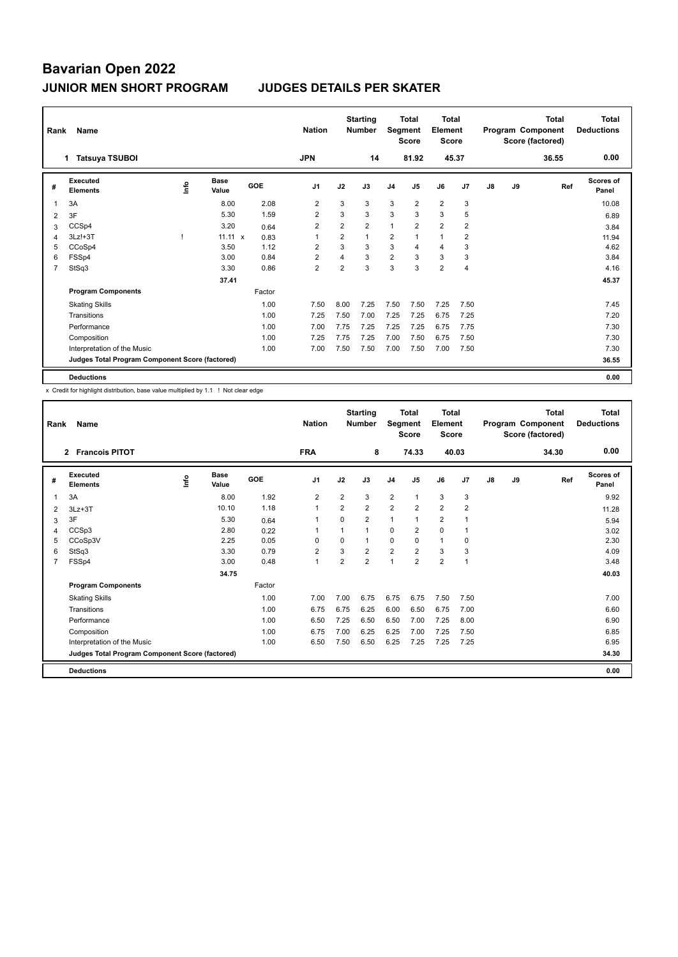| Rank | Name                                            |    |                      |        | <b>Nation</b>  |                | <b>Starting</b><br><b>Number</b> | Segment        | <b>Total</b><br><b>Score</b> | Total<br>Element<br><b>Score</b> |                |    |    | <b>Total</b><br>Program Component<br>Score (factored) | Total<br><b>Deductions</b> |
|------|-------------------------------------------------|----|----------------------|--------|----------------|----------------|----------------------------------|----------------|------------------------------|----------------------------------|----------------|----|----|-------------------------------------------------------|----------------------------|
|      | <b>Tatsuya TSUBOI</b><br>1.                     |    |                      |        | <b>JPN</b>     |                | 14                               |                | 81.92                        | 45.37                            |                |    |    | 36.55                                                 | 0.00                       |
| #    | <b>Executed</b><br><b>Elements</b>              | ۴ů | <b>Base</b><br>Value | GOE    | J <sub>1</sub> | J2             | J3                               | J <sub>4</sub> | J5                           | J6                               | J <sub>7</sub> | J8 | J9 | Ref                                                   | <b>Scores of</b><br>Panel  |
| 1    | 3A                                              |    | 8.00                 | 2.08   | 2              | 3              | 3                                | 3              | $\overline{2}$               | $\overline{2}$                   | 3              |    |    |                                                       | 10.08                      |
| 2    | 3F                                              |    | 5.30                 | 1.59   | $\overline{2}$ | 3              | 3                                | 3              | 3                            | 3                                | 5              |    |    |                                                       | 6.89                       |
| 3    | CCSp4                                           |    | 3.20                 | 0.64   | $\overline{2}$ | $\overline{2}$ | $\overline{2}$                   | $\mathbf{1}$   | $\overline{2}$               | $\overline{2}$                   | $\overline{2}$ |    |    |                                                       | 3.84                       |
| 4    | $3Lz!+3T$                                       |    | $11.11 \times$       | 0.83   | 1              | $\overline{2}$ | $\overline{1}$                   | 2              |                              | $\mathbf{1}$                     | $\overline{2}$ |    |    |                                                       | 11.94                      |
| 5    | CCoSp4                                          |    | 3.50                 | 1.12   | $\overline{2}$ | 3              | 3                                | 3              | $\overline{4}$               | $\overline{4}$                   | 3              |    |    |                                                       | 4.62                       |
| 6    | FSSp4                                           |    | 3.00                 | 0.84   | $\overline{2}$ | $\overline{4}$ | 3                                | $\overline{2}$ | 3                            | 3                                | 3              |    |    |                                                       | 3.84                       |
| 7    | StSq3                                           |    | 3.30                 | 0.86   | $\overline{2}$ | $\overline{2}$ | 3                                | 3              | 3                            | $\overline{2}$                   | 4              |    |    |                                                       | 4.16                       |
|      |                                                 |    | 37.41                |        |                |                |                                  |                |                              |                                  |                |    |    |                                                       | 45.37                      |
|      | <b>Program Components</b>                       |    |                      | Factor |                |                |                                  |                |                              |                                  |                |    |    |                                                       |                            |
|      | <b>Skating Skills</b>                           |    |                      | 1.00   | 7.50           | 8.00           | 7.25                             | 7.50           | 7.50                         | 7.25                             | 7.50           |    |    |                                                       | 7.45                       |
|      | Transitions                                     |    |                      | 1.00   | 7.25           | 7.50           | 7.00                             | 7.25           | 7.25                         | 6.75                             | 7.25           |    |    |                                                       | 7.20                       |
|      | Performance                                     |    |                      | 1.00   | 7.00           | 7.75           | 7.25                             | 7.25           | 7.25                         | 6.75                             | 7.75           |    |    |                                                       | 7.30                       |
|      | Composition                                     |    |                      | 1.00   | 7.25           | 7.75           | 7.25                             | 7.00           | 7.50                         | 6.75                             | 7.50           |    |    |                                                       | 7.30                       |
|      | Interpretation of the Music                     |    |                      | 1.00   | 7.00           | 7.50           | 7.50                             | 7.00           | 7.50                         | 7.00                             | 7.50           |    |    |                                                       | 7.30                       |
|      | Judges Total Program Component Score (factored) |    |                      |        |                |                |                                  |                |                              |                                  |                |    |    |                                                       | 36.55                      |
|      | <b>Deductions</b>                               |    |                      |        |                |                |                                  |                |                              |                                  |                |    |    |                                                       | 0.00                       |

x Credit for highlight distribution, base value multiplied by 1.1 ! Not clear edge

| Rank           | Name                                            |      |                      |        | <b>Nation</b>  |                | <b>Starting</b><br><b>Number</b> | Segment        | <b>Total</b><br><b>Score</b> | <b>Total</b><br>Element<br><b>Score</b> |                |    |    | <b>Total</b><br>Program Component<br>Score (factored) | <b>Total</b><br><b>Deductions</b> |
|----------------|-------------------------------------------------|------|----------------------|--------|----------------|----------------|----------------------------------|----------------|------------------------------|-----------------------------------------|----------------|----|----|-------------------------------------------------------|-----------------------------------|
|                | <b>Francois PITOT</b><br>$\overline{2}$         |      |                      |        | <b>FRA</b>     |                | 8                                |                | 74.33                        |                                         | 40.03          |    |    | 34.30                                                 | 0.00                              |
| #              | Executed<br><b>Elements</b>                     | lnfo | <b>Base</b><br>Value | GOE    | J <sub>1</sub> | J2             | J3                               | J <sub>4</sub> | J <sub>5</sub>               | J6                                      | J7             | J8 | J9 | Ref                                                   | <b>Scores of</b><br>Panel         |
| 1              | 3A                                              |      | 8.00                 | 1.92   | $\overline{2}$ | $\overline{2}$ | 3                                | $\overline{2}$ | 1                            | 3                                       | 3              |    |    |                                                       | 9.92                              |
| 2              | $3Lz + 3T$                                      |      | 10.10                | 1.18   | $\mathbf{1}$   | 2              | $\overline{2}$                   | $\overline{2}$ | $\overline{2}$               | $\overline{2}$                          | $\overline{2}$ |    |    |                                                       | 11.28                             |
| 3              | 3F                                              |      | 5.30                 | 0.64   | 1              | $\Omega$       | $\overline{2}$                   | $\mathbf{1}$   | 1                            | $\overline{2}$                          |                |    |    |                                                       | 5.94                              |
| 4              | CCSp3                                           |      | 2.80                 | 0.22   | $\mathbf{1}$   |                | 1                                | $\mathbf 0$    | $\overline{2}$               | $\mathbf 0$                             | 1              |    |    |                                                       | 3.02                              |
| 5              | CCoSp3V                                         |      | 2.25                 | 0.05   | $\Omega$       | $\Omega$       | 1                                | 0              | $\Omega$                     | $\mathbf{1}$                            | 0              |    |    |                                                       | 2.30                              |
| 6              | StSq3                                           |      | 3.30                 | 0.79   | $\overline{2}$ | 3              | $\overline{2}$                   | $\overline{2}$ | $\overline{2}$               | 3                                       | 3              |    |    |                                                       | 4.09                              |
| $\overline{7}$ | FSSp4                                           |      | 3.00                 | 0.48   | $\mathbf{1}$   | $\overline{2}$ | $\overline{2}$                   | $\overline{1}$ | $\overline{2}$               | $\overline{2}$                          | $\mathbf{1}$   |    |    |                                                       | 3.48                              |
|                |                                                 |      | 34.75                |        |                |                |                                  |                |                              |                                         |                |    |    |                                                       | 40.03                             |
|                | <b>Program Components</b>                       |      |                      | Factor |                |                |                                  |                |                              |                                         |                |    |    |                                                       |                                   |
|                | <b>Skating Skills</b>                           |      |                      | 1.00   | 7.00           | 7.00           | 6.75                             | 6.75           | 6.75                         | 7.50                                    | 7.50           |    |    |                                                       | 7.00                              |
|                | Transitions                                     |      |                      | 1.00   | 6.75           | 6.75           | 6.25                             | 6.00           | 6.50                         | 6.75                                    | 7.00           |    |    |                                                       | 6.60                              |
|                | Performance                                     |      |                      | 1.00   | 6.50           | 7.25           | 6.50                             | 6.50           | 7.00                         | 7.25                                    | 8.00           |    |    |                                                       | 6.90                              |
|                | Composition                                     |      |                      | 1.00   | 6.75           | 7.00           | 6.25                             | 6.25           | 7.00                         | 7.25                                    | 7.50           |    |    |                                                       | 6.85                              |
|                | Interpretation of the Music                     |      |                      | 1.00   | 6.50           | 7.50           | 6.50                             | 6.25           | 7.25                         | 7.25                                    | 7.25           |    |    |                                                       | 6.95                              |
|                | Judges Total Program Component Score (factored) |      |                      |        |                |                |                                  |                |                              |                                         |                |    |    |                                                       | 34.30                             |
|                | <b>Deductions</b>                               |      |                      |        |                |                |                                  |                |                              |                                         |                |    |    |                                                       | 0.00                              |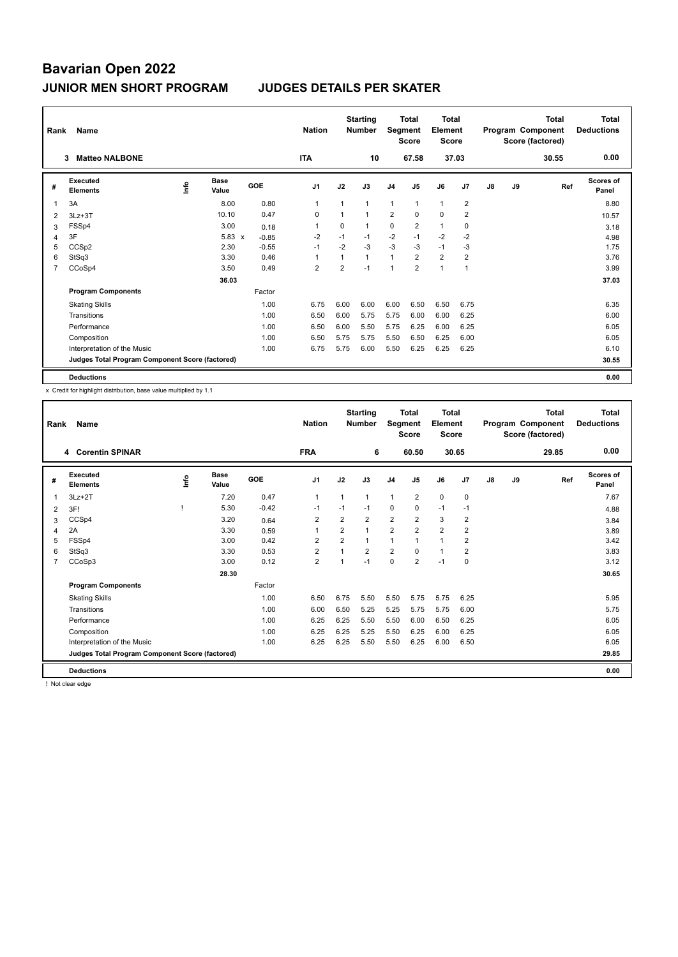| Rank           | Name                                            |             |                      |         | <b>Nation</b>  |                | <b>Starting</b><br><b>Number</b> | Segment        | <b>Total</b><br><b>Score</b> | <b>Total</b><br>Element<br>Score |                |               |    | <b>Total</b><br>Program Component<br>Score (factored) | <b>Total</b><br><b>Deductions</b> |
|----------------|-------------------------------------------------|-------------|----------------------|---------|----------------|----------------|----------------------------------|----------------|------------------------------|----------------------------------|----------------|---------------|----|-------------------------------------------------------|-----------------------------------|
|                | <b>Matteo NALBONE</b><br>3                      |             |                      |         | <b>ITA</b>     |                | 10                               |                | 67.58                        |                                  | 37.03          |               |    | 30.55                                                 | 0.00                              |
| #              | Executed<br><b>Elements</b>                     | <u>lnfo</u> | <b>Base</b><br>Value | GOE     | J <sub>1</sub> | J2             | J3                               | J4             | J <sub>5</sub>               | J6                               | J <sub>7</sub> | $\mathsf{J}8$ | J9 | Ref                                                   | Scores of<br>Panel                |
| 1              | 3A                                              |             | 8.00                 | 0.80    | $\overline{1}$ |                | $\mathbf{1}$                     | $\mathbf{1}$   | $\mathbf{1}$                 | $\mathbf{1}$                     | $\overline{2}$ |               |    |                                                       | 8.80                              |
| 2              | $3Lz + 3T$                                      |             | 10.10                | 0.47    | 0              |                | $\mathbf{1}$                     | $\overline{2}$ | $\Omega$                     | $\Omega$                         | $\overline{2}$ |               |    |                                                       | 10.57                             |
| 3              | FSSp4                                           |             | 3.00                 | 0.18    | 1              | $\Omega$       | 1                                | 0              | 2                            | $\mathbf{1}$                     | 0              |               |    |                                                       | 3.18                              |
| 4              | 3F                                              |             | $5.83 \times$        | $-0.85$ | $-2$           | $-1$           | $-1$                             | $-2$           | $-1$                         | $-2$                             | $-2$           |               |    |                                                       | 4.98                              |
| 5              | CCS <sub>p2</sub>                               |             | 2.30                 | $-0.55$ | $-1$           | $-2$           | $-3$                             | $-3$           | $-3$                         | $-1$                             | $-3$           |               |    |                                                       | 1.75                              |
| 6              | StSq3                                           |             | 3.30                 | 0.46    | 1              | 1              | $\mathbf{1}$                     | $\mathbf{1}$   | $\overline{2}$               | $\overline{2}$                   | $\overline{2}$ |               |    |                                                       | 3.76                              |
| $\overline{7}$ | CCoSp4                                          |             | 3.50                 | 0.49    | $\overline{2}$ | $\overline{2}$ | $-1$                             | $\overline{1}$ | $\overline{2}$               | $\mathbf{1}$                     | $\overline{1}$ |               |    |                                                       | 3.99                              |
|                |                                                 |             | 36.03                |         |                |                |                                  |                |                              |                                  |                |               |    |                                                       | 37.03                             |
|                | <b>Program Components</b>                       |             |                      | Factor  |                |                |                                  |                |                              |                                  |                |               |    |                                                       |                                   |
|                | <b>Skating Skills</b>                           |             |                      | 1.00    | 6.75           | 6.00           | 6.00                             | 6.00           | 6.50                         | 6.50                             | 6.75           |               |    |                                                       | 6.35                              |
|                | Transitions                                     |             |                      | 1.00    | 6.50           | 6.00           | 5.75                             | 5.75           | 6.00                         | 6.00                             | 6.25           |               |    |                                                       | 6.00                              |
|                | Performance                                     |             |                      | 1.00    | 6.50           | 6.00           | 5.50                             | 5.75           | 6.25                         | 6.00                             | 6.25           |               |    |                                                       | 6.05                              |
|                | Composition                                     |             |                      | 1.00    | 6.50           | 5.75           | 5.75                             | 5.50           | 6.50                         | 6.25                             | 6.00           |               |    |                                                       | 6.05                              |
|                | Interpretation of the Music                     |             |                      | 1.00    | 6.75           | 5.75           | 6.00                             | 5.50           | 6.25                         | 6.25                             | 6.25           |               |    |                                                       | 6.10                              |
|                | Judges Total Program Component Score (factored) |             |                      |         |                |                |                                  |                |                              |                                  |                |               |    |                                                       | 30.55                             |
|                | <b>Deductions</b>                               |             |                      |         |                |                |                                  |                |                              |                                  |                |               |    |                                                       | 0.00                              |

x Credit for highlight distribution, base value multiplied by 1.1

| Rank           | Name                                            |      |                      |         | <b>Nation</b>  |                | <b>Starting</b><br><b>Number</b> | Segment        | Total<br><b>Score</b> | Total<br>Element<br><b>Score</b> |                |    |    | Total<br>Program Component<br>Score (factored) | <b>Total</b><br><b>Deductions</b> |
|----------------|-------------------------------------------------|------|----------------------|---------|----------------|----------------|----------------------------------|----------------|-----------------------|----------------------------------|----------------|----|----|------------------------------------------------|-----------------------------------|
|                | <b>Corentin SPINAR</b><br>4                     |      |                      |         | <b>FRA</b>     |                | 6                                |                | 60.50                 |                                  | 30.65          |    |    | 29.85                                          | 0.00                              |
| #              | Executed<br><b>Elements</b>                     | ١nf٥ | <b>Base</b><br>Value | GOE     | J <sub>1</sub> | J2             | J3                               | J <sub>4</sub> | J <sub>5</sub>        | J6                               | J7             | J8 | J9 | Ref                                            | Scores of<br>Panel                |
|                | $3Lz + 2T$                                      |      | 7.20                 | 0.47    | $\mathbf{1}$   | $\mathbf{1}$   | 1                                | $\mathbf{1}$   | $\overline{2}$        | $\mathbf 0$                      | $\mathbf 0$    |    |    |                                                | 7.67                              |
| 2              | 3F!                                             |      | 5.30                 | $-0.42$ | $-1$           | $-1$           | $-1$                             | 0              | 0                     | $-1$                             | $-1$           |    |    |                                                | 4.88                              |
| 3              | CCSp4                                           |      | 3.20                 | 0.64    | 2              | $\overline{2}$ | $\overline{2}$                   | $\overline{2}$ | $\overline{2}$        | 3                                | 2              |    |    |                                                | 3.84                              |
| 4              | 2A                                              |      | 3.30                 | 0.59    | $\mathbf{1}$   | $\overline{2}$ | 1                                | $\overline{2}$ | $\overline{2}$        | $\overline{2}$                   | $\overline{2}$ |    |    |                                                | 3.89                              |
| 5              | FSSp4                                           |      | 3.00                 | 0.42    | 2              | $\overline{2}$ | 1                                | $\mathbf{1}$   | 1                     | $\mathbf{1}$                     | $\overline{2}$ |    |    |                                                | 3.42                              |
| 6              | StSq3                                           |      | 3.30                 | 0.53    | $\overline{2}$ | 1              | $\overline{2}$                   | $\overline{2}$ | $\Omega$              | $\mathbf{1}$                     | $\overline{2}$ |    |    |                                                | 3.83                              |
| $\overline{7}$ | CCoSp3                                          |      | 3.00                 | 0.12    | $\overline{2}$ | $\overline{1}$ | $-1$                             | $\mathbf 0$    | $\overline{2}$        | $-1$                             | $\mathbf 0$    |    |    |                                                | 3.12                              |
|                |                                                 |      | 28.30                |         |                |                |                                  |                |                       |                                  |                |    |    |                                                | 30.65                             |
|                | <b>Program Components</b>                       |      |                      | Factor  |                |                |                                  |                |                       |                                  |                |    |    |                                                |                                   |
|                | <b>Skating Skills</b>                           |      |                      | 1.00    | 6.50           | 6.75           | 5.50                             | 5.50           | 5.75                  | 5.75                             | 6.25           |    |    |                                                | 5.95                              |
|                | Transitions                                     |      |                      | 1.00    | 6.00           | 6.50           | 5.25                             | 5.25           | 5.75                  | 5.75                             | 6.00           |    |    |                                                | 5.75                              |
|                | Performance                                     |      |                      | 1.00    | 6.25           | 6.25           | 5.50                             | 5.50           | 6.00                  | 6.50                             | 6.25           |    |    |                                                | 6.05                              |
|                | Composition                                     |      |                      | 1.00    | 6.25           | 6.25           | 5.25                             | 5.50           | 6.25                  | 6.00                             | 6.25           |    |    |                                                | 6.05                              |
|                | Interpretation of the Music                     |      |                      | 1.00    | 6.25           | 6.25           | 5.50                             | 5.50           | 6.25                  | 6.00                             | 6.50           |    |    |                                                | 6.05                              |
|                | Judges Total Program Component Score (factored) |      |                      |         |                |                |                                  |                |                       |                                  |                |    |    |                                                | 29.85                             |
|                | <b>Deductions</b>                               |      |                      |         |                |                |                                  |                |                       |                                  |                |    |    |                                                | 0.00                              |

! Not clear edge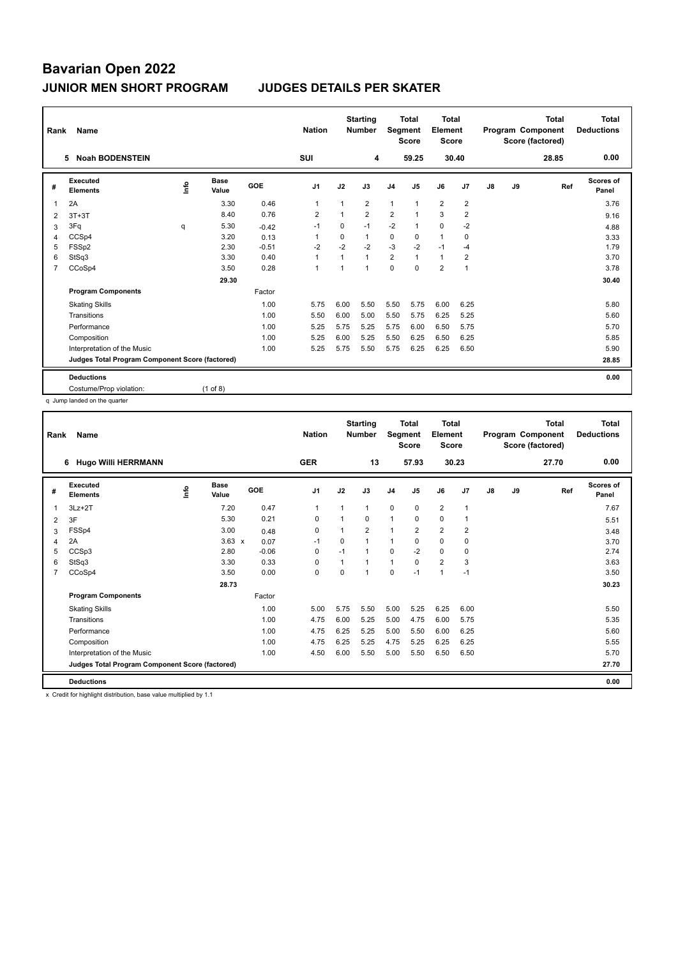| Rank           | Name                                            |    |                      |            | <b>Nation</b>  |                | <b>Starting</b><br><b>Number</b> | Segment        | <b>Total</b><br><b>Score</b> | <b>Total</b><br>Element<br><b>Score</b> |                |    |    | <b>Total</b><br>Program Component<br>Score (factored) | <b>Total</b><br><b>Deductions</b> |
|----------------|-------------------------------------------------|----|----------------------|------------|----------------|----------------|----------------------------------|----------------|------------------------------|-----------------------------------------|----------------|----|----|-------------------------------------------------------|-----------------------------------|
|                | <b>Noah BODENSTEIN</b><br>5                     |    |                      |            | SUI            |                | 4                                |                | 59.25                        |                                         | 30.40          |    |    | 28.85                                                 | 0.00                              |
| #              | <b>Executed</b><br><b>Elements</b>              | ۴ů | <b>Base</b><br>Value | <b>GOE</b> | J <sub>1</sub> | J2             | J3                               | J <sub>4</sub> | J5                           | J6                                      | J7             | J8 | J9 | Ref                                                   | Scores of<br>Panel                |
| 1              | 2A                                              |    | 3.30                 | 0.46       | $\overline{1}$ | $\mathbf{1}$   | $\overline{2}$                   | $\mathbf{1}$   | $\overline{1}$               | $\overline{2}$                          | $\overline{2}$ |    |    |                                                       | 3.76                              |
| 2              | $3T+3T$                                         |    | 8.40                 | 0.76       | $\overline{2}$ | $\overline{1}$ | $\overline{2}$                   | $\overline{2}$ |                              | 3                                       | $\overline{2}$ |    |    |                                                       | 9.16                              |
| 3              | 3Fq                                             | q  | 5.30                 | $-0.42$    | $-1$           | 0              | $-1$                             | $-2$           | $\mathbf{1}$                 | $\mathbf 0$                             | $-2$           |    |    |                                                       | 4.88                              |
| 4              | CCSp4                                           |    | 3.20                 | 0.13       | -1             | $\Omega$       | $\mathbf{1}$                     | 0              | $\mathbf 0$                  | $\mathbf{1}$                            | 0              |    |    |                                                       | 3.33                              |
| 5              | FSSp2                                           |    | 2.30                 | $-0.51$    | $-2$           | $-2$           | $-2$                             | $-3$           | $-2$                         | $-1$                                    | $-4$           |    |    |                                                       | 1.79                              |
| 6              | StSq3                                           |    | 3.30                 | 0.40       | $\overline{1}$ | $\mathbf{1}$   | $\mathbf{1}$                     | $\overline{2}$ | $\mathbf{1}$                 | $\mathbf{1}$                            | $\overline{2}$ |    |    |                                                       | 3.70                              |
| $\overline{7}$ | CCoSp4                                          |    | 3.50                 | 0.28       | $\overline{1}$ | 1              | $\overline{1}$                   | 0              | $\mathbf 0$                  | $\overline{2}$                          | $\overline{1}$ |    |    |                                                       | 3.78                              |
|                |                                                 |    | 29.30                |            |                |                |                                  |                |                              |                                         |                |    |    |                                                       | 30.40                             |
|                | <b>Program Components</b>                       |    |                      | Factor     |                |                |                                  |                |                              |                                         |                |    |    |                                                       |                                   |
|                | <b>Skating Skills</b>                           |    |                      | 1.00       | 5.75           | 6.00           | 5.50                             | 5.50           | 5.75                         | 6.00                                    | 6.25           |    |    |                                                       | 5.80                              |
|                | Transitions                                     |    |                      | 1.00       | 5.50           | 6.00           | 5.00                             | 5.50           | 5.75                         | 6.25                                    | 5.25           |    |    |                                                       | 5.60                              |
|                | Performance                                     |    |                      | 1.00       | 5.25           | 5.75           | 5.25                             | 5.75           | 6.00                         | 6.50                                    | 5.75           |    |    |                                                       | 5.70                              |
|                | Composition                                     |    |                      | 1.00       | 5.25           | 6.00           | 5.25                             | 5.50           | 6.25                         | 6.50                                    | 6.25           |    |    |                                                       | 5.85                              |
|                | Interpretation of the Music                     |    |                      | 1.00       | 5.25           | 5.75           | 5.50                             | 5.75           | 6.25                         | 6.25                                    | 6.50           |    |    |                                                       | 5.90                              |
|                | Judges Total Program Component Score (factored) |    |                      |            |                |                |                                  |                |                              |                                         |                |    |    |                                                       | 28.85                             |
|                | <b>Deductions</b>                               |    |                      |            |                |                |                                  |                |                              |                                         |                |    |    |                                                       | 0.00                              |
|                | Costume/Prop violation:                         |    | $(1$ of 8)           |            |                |                |                                  |                |                              |                                         |                |    |    |                                                       |                                   |

q Jump landed on the quarter

| Rank           | <b>Name</b>                                     |      |                      |         | <b>Nation</b>  |      | <b>Starting</b><br><b>Number</b> | Segment        | <b>Total</b><br><b>Score</b> | <b>Total</b><br>Element<br><b>Score</b> |                |    |    | <b>Total</b><br>Program Component<br>Score (factored) | Total<br><b>Deductions</b> |
|----------------|-------------------------------------------------|------|----------------------|---------|----------------|------|----------------------------------|----------------|------------------------------|-----------------------------------------|----------------|----|----|-------------------------------------------------------|----------------------------|
|                | <b>Hugo Willi HERRMANN</b><br>6                 |      |                      |         | <b>GER</b>     |      | 13                               |                | 57.93                        |                                         | 30.23          |    |    | 27.70                                                 | 0.00                       |
| #              | Executed<br><b>Elements</b>                     | Info | <b>Base</b><br>Value | GOE     | J <sub>1</sub> | J2   | J3                               | J <sub>4</sub> | J <sub>5</sub>               | J6                                      | J7             | J8 | J9 | Ref                                                   | Scores of<br>Panel         |
| 1              | $3Lz + 2T$                                      |      | 7.20                 | 0.47    | $\mathbf{1}$   | 1    | 1                                | $\mathbf 0$    | $\mathbf 0$                  | $\overline{2}$                          | $\overline{1}$ |    |    |                                                       | 7.67                       |
| 2              | 3F                                              |      | 5.30                 | 0.21    | 0              | 1    | $\Omega$                         | $\mathbf{1}$   | 0                            | 0                                       | -1             |    |    |                                                       | 5.51                       |
| 3              | FSSp4                                           |      | 3.00                 | 0.48    | $\mathbf 0$    | 1    | $\overline{2}$                   | 1              | 2                            | $\overline{2}$                          | $\overline{2}$ |    |    |                                                       | 3.48                       |
| 4              | 2A                                              |      | $3.63 \times$        | 0.07    | $-1$           | 0    | 1                                | $\mathbf{1}$   | $\mathbf 0$                  | $\mathbf 0$                             | $\mathbf 0$    |    |    |                                                       | 3.70                       |
| 5              | CCSp3                                           |      | 2.80                 | $-0.06$ | 0              | $-1$ | 1                                | $\mathbf 0$    | $-2$                         | $\mathbf 0$                             | $\mathbf 0$    |    |    |                                                       | 2.74                       |
| 6              | StSq3                                           |      | 3.30                 | 0.33    | $\mathbf 0$    | 1    | 1                                | $\mathbf{1}$   | 0                            | $\overline{2}$                          | 3              |    |    |                                                       | 3.63                       |
| $\overline{7}$ | CCoSp4                                          |      | 3.50                 | 0.00    | $\mathbf 0$    | 0    | $\overline{1}$                   | 0              | $-1$                         | $\mathbf{1}$                            | $-1$           |    |    |                                                       | 3.50                       |
|                |                                                 |      | 28.73                |         |                |      |                                  |                |                              |                                         |                |    |    |                                                       | 30.23                      |
|                | <b>Program Components</b>                       |      |                      | Factor  |                |      |                                  |                |                              |                                         |                |    |    |                                                       |                            |
|                | <b>Skating Skills</b>                           |      |                      | 1.00    | 5.00           | 5.75 | 5.50                             | 5.00           | 5.25                         | 6.25                                    | 6.00           |    |    |                                                       | 5.50                       |
|                | Transitions                                     |      |                      | 1.00    | 4.75           | 6.00 | 5.25                             | 5.00           | 4.75                         | 6.00                                    | 5.75           |    |    |                                                       | 5.35                       |
|                | Performance                                     |      |                      | 1.00    | 4.75           | 6.25 | 5.25                             | 5.00           | 5.50                         | 6.00                                    | 6.25           |    |    |                                                       | 5.60                       |
|                | Composition                                     |      |                      | 1.00    | 4.75           | 6.25 | 5.25                             | 4.75           | 5.25                         | 6.25                                    | 6.25           |    |    |                                                       | 5.55                       |
|                | Interpretation of the Music                     |      |                      | 1.00    | 4.50           | 6.00 | 5.50                             | 5.00           | 5.50                         | 6.50                                    | 6.50           |    |    |                                                       | 5.70                       |
|                | Judges Total Program Component Score (factored) |      |                      |         |                |      |                                  |                |                              |                                         |                |    |    |                                                       | 27.70                      |
|                | <b>Deductions</b>                               |      |                      |         |                |      |                                  |                |                              |                                         |                |    |    |                                                       | 0.00                       |

x Credit for highlight distribution, base value multiplied by 1.1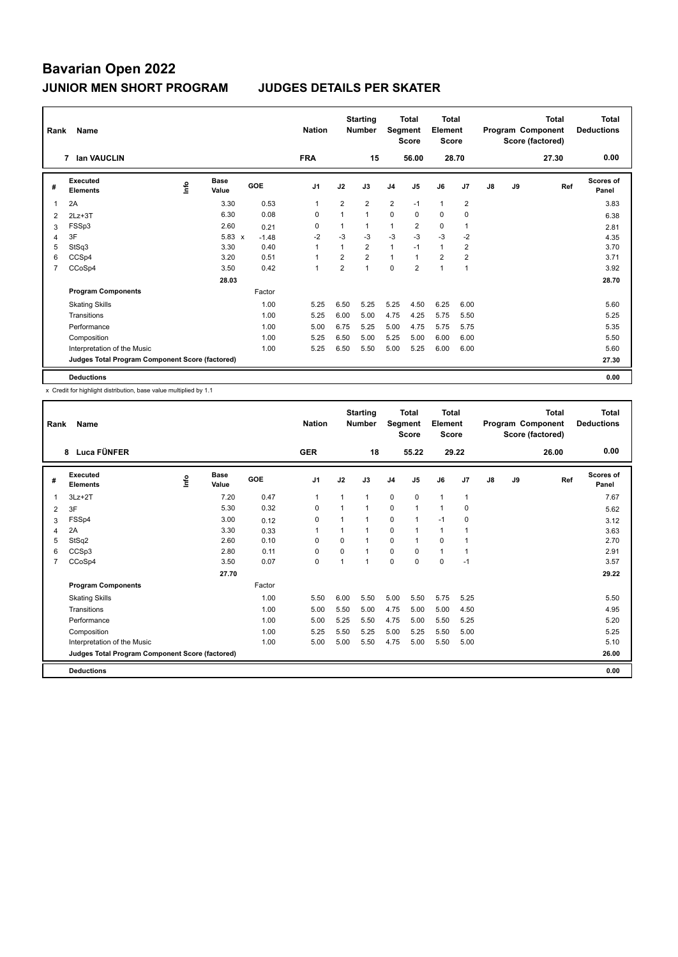| Rank           | Name                                            |             |                      |         | <b>Nation</b>  |                | <b>Starting</b><br><b>Number</b> | Segment        | <b>Total</b><br><b>Score</b> | <b>Total</b><br>Element<br><b>Score</b> |                |    |    | <b>Total</b><br>Program Component<br>Score (factored) | <b>Total</b><br><b>Deductions</b> |
|----------------|-------------------------------------------------|-------------|----------------------|---------|----------------|----------------|----------------------------------|----------------|------------------------------|-----------------------------------------|----------------|----|----|-------------------------------------------------------|-----------------------------------|
|                | <b>Ian VAUCLIN</b><br>7                         |             |                      |         | <b>FRA</b>     |                | 15                               |                | 56.00                        | 28.70                                   |                |    |    | 27.30                                                 | 0.00                              |
| #              | Executed<br><b>Elements</b>                     | <u>lnfo</u> | <b>Base</b><br>Value | GOE     | J <sub>1</sub> | J2             | J3                               | J <sub>4</sub> | J <sub>5</sub>               | J6                                      | J <sub>7</sub> | J8 | J9 | Ref                                                   | Scores of<br>Panel                |
| 1              | 2A                                              |             | 3.30                 | 0.53    | $\overline{1}$ | $\overline{2}$ | $\overline{2}$                   | $\overline{2}$ | $-1$                         | $\mathbf{1}$                            | $\overline{2}$ |    |    |                                                       | 3.83                              |
| 2              | $2Lz + 3T$                                      |             | 6.30                 | 0.08    | $\Omega$       | 1              | $\mathbf{1}$                     | $\mathbf 0$    | $\Omega$                     | $\Omega$                                | 0              |    |    |                                                       | 6.38                              |
| 3              | FSSp3                                           |             | 2.60                 | 0.21    | 0              |                | $\mathbf 1$                      | 1              | $\overline{2}$               | $\mathbf 0$                             | -1             |    |    |                                                       | 2.81                              |
| 4              | 3F                                              |             | $5.83 \times$        | $-1.48$ | $-2$           | $-3$           | $-3$                             | $-3$           | $-3$                         | $-3$                                    | $-2$           |    |    |                                                       | 4.35                              |
| 5              | StSq3                                           |             | 3.30                 | 0.40    | $\overline{1}$ | $\mathbf{1}$   | $\overline{2}$                   | $\mathbf{1}$   | $-1$                         | $\mathbf{1}$                            | $\overline{2}$ |    |    |                                                       | 3.70                              |
| 6              | CCSp4                                           |             | 3.20                 | 0.51    | 1              | 2              | $\overline{2}$                   | $\mathbf{1}$   | $\mathbf{1}$                 | $\overline{2}$                          | $\overline{2}$ |    |    |                                                       | 3.71                              |
| $\overline{7}$ | CCoSp4                                          |             | 3.50                 | 0.42    | $\overline{1}$ | 2              | $\overline{1}$                   | $\mathbf 0$    | $\overline{2}$               | $\mathbf{1}$                            | $\overline{1}$ |    |    |                                                       | 3.92                              |
|                |                                                 |             | 28.03                |         |                |                |                                  |                |                              |                                         |                |    |    |                                                       | 28.70                             |
|                | <b>Program Components</b>                       |             |                      | Factor  |                |                |                                  |                |                              |                                         |                |    |    |                                                       |                                   |
|                | <b>Skating Skills</b>                           |             |                      | 1.00    | 5.25           | 6.50           | 5.25                             | 5.25           | 4.50                         | 6.25                                    | 6.00           |    |    |                                                       | 5.60                              |
|                | Transitions                                     |             |                      | 1.00    | 5.25           | 6.00           | 5.00                             | 4.75           | 4.25                         | 5.75                                    | 5.50           |    |    |                                                       | 5.25                              |
|                | Performance                                     |             |                      | 1.00    | 5.00           | 6.75           | 5.25                             | 5.00           | 4.75                         | 5.75                                    | 5.75           |    |    |                                                       | 5.35                              |
|                | Composition                                     |             |                      | 1.00    | 5.25           | 6.50           | 5.00                             | 5.25           | 5.00                         | 6.00                                    | 6.00           |    |    |                                                       | 5.50                              |
|                | Interpretation of the Music                     |             |                      | 1.00    | 5.25           | 6.50           | 5.50                             | 5.00           | 5.25                         | 6.00                                    | 6.00           |    |    |                                                       | 5.60                              |
|                | Judges Total Program Component Score (factored) |             |                      |         |                |                |                                  |                |                              |                                         |                |    |    |                                                       | 27.30                             |
|                | <b>Deductions</b>                               |             |                      |         |                |                |                                  |                |                              |                                         |                |    |    |                                                       | 0.00                              |

x Credit for highlight distribution, base value multiplied by 1.1

| Rank           | Name                                            |      |               |        | <b>Nation</b>  |          | <b>Starting</b><br><b>Number</b> | Segment        | <b>Total</b><br><b>Score</b> | Total<br>Element<br><b>Score</b> |                |    |    | <b>Total</b><br>Program Component<br>Score (factored) | <b>Total</b><br><b>Deductions</b> |
|----------------|-------------------------------------------------|------|---------------|--------|----------------|----------|----------------------------------|----------------|------------------------------|----------------------------------|----------------|----|----|-------------------------------------------------------|-----------------------------------|
|                | 8 Luca FÜNFER                                   |      |               |        | <b>GER</b>     |          | 18                               |                | 55.22                        |                                  | 29.22          |    |    | 26.00                                                 | 0.00                              |
| #              | Executed<br><b>Elements</b>                     | ١nf٥ | Base<br>Value | GOE    | J <sub>1</sub> | J2       | J3                               | J <sub>4</sub> | J <sub>5</sub>               | J6                               | J7             | J8 | J9 | Ref                                                   | Scores of<br>Panel                |
| 1              | $3Lz + 2T$                                      |      | 7.20          | 0.47   | 1              | 1        | 1                                | $\mathbf 0$    | $\mathbf 0$                  | $\mathbf{1}$                     | $\mathbf{1}$   |    |    |                                                       | 7.67                              |
| 2              | 3F                                              |      | 5.30          | 0.32   | 0              |          |                                  | $\mathbf 0$    | $\mathbf{1}$                 | 1                                | 0              |    |    |                                                       | 5.62                              |
| 3              | FSSp4                                           |      | 3.00          | 0.12   | 0              | 1        |                                  | $\mathbf 0$    | 1                            | $-1$                             | 0              |    |    |                                                       | 3.12                              |
| 4              | 2A                                              |      | 3.30          | 0.33   | 1              |          | 1                                | $\mathbf 0$    | 1                            | $\mathbf{1}$                     | 1              |    |    |                                                       | 3.63                              |
| 5              | StSq2                                           |      | 2.60          | 0.10   | $\Omega$       | $\Omega$ | 1                                | $\mathbf 0$    | 1                            | 0                                | $\overline{1}$ |    |    |                                                       | 2.70                              |
| 6              | CCSp3                                           |      | 2.80          | 0.11   | 0              | 0        |                                  | $\pmb{0}$      | $\Omega$                     | $\mathbf{1}$                     | $\overline{1}$ |    |    |                                                       | 2.91                              |
| $\overline{7}$ | CCoSp4                                          |      | 3.50          | 0.07   | $\mathbf 0$    | 1        | 1                                | $\mathbf 0$    | $\Omega$                     | $\mathbf 0$                      | $-1$           |    |    |                                                       | 3.57                              |
|                |                                                 |      | 27.70         |        |                |          |                                  |                |                              |                                  |                |    |    |                                                       | 29.22                             |
|                | <b>Program Components</b>                       |      |               | Factor |                |          |                                  |                |                              |                                  |                |    |    |                                                       |                                   |
|                | <b>Skating Skills</b>                           |      |               | 1.00   | 5.50           | 6.00     | 5.50                             | 5.00           | 5.50                         | 5.75                             | 5.25           |    |    |                                                       | 5.50                              |
|                | Transitions                                     |      |               | 1.00   | 5.00           | 5.50     | 5.00                             | 4.75           | 5.00                         | 5.00                             | 4.50           |    |    |                                                       | 4.95                              |
|                | Performance                                     |      |               | 1.00   | 5.00           | 5.25     | 5.50                             | 4.75           | 5.00                         | 5.50                             | 5.25           |    |    |                                                       | 5.20                              |
|                | Composition                                     |      |               | 1.00   | 5.25           | 5.50     | 5.25                             | 5.00           | 5.25                         | 5.50                             | 5.00           |    |    |                                                       | 5.25                              |
|                | Interpretation of the Music                     |      |               | 1.00   | 5.00           | 5.00     | 5.50                             | 4.75           | 5.00                         | 5.50                             | 5.00           |    |    |                                                       | 5.10                              |
|                | Judges Total Program Component Score (factored) |      |               |        |                |          |                                  |                |                              |                                  |                |    |    |                                                       | 26.00                             |
|                | <b>Deductions</b>                               |      |               |        |                |          |                                  |                |                              |                                  |                |    |    |                                                       | 0.00                              |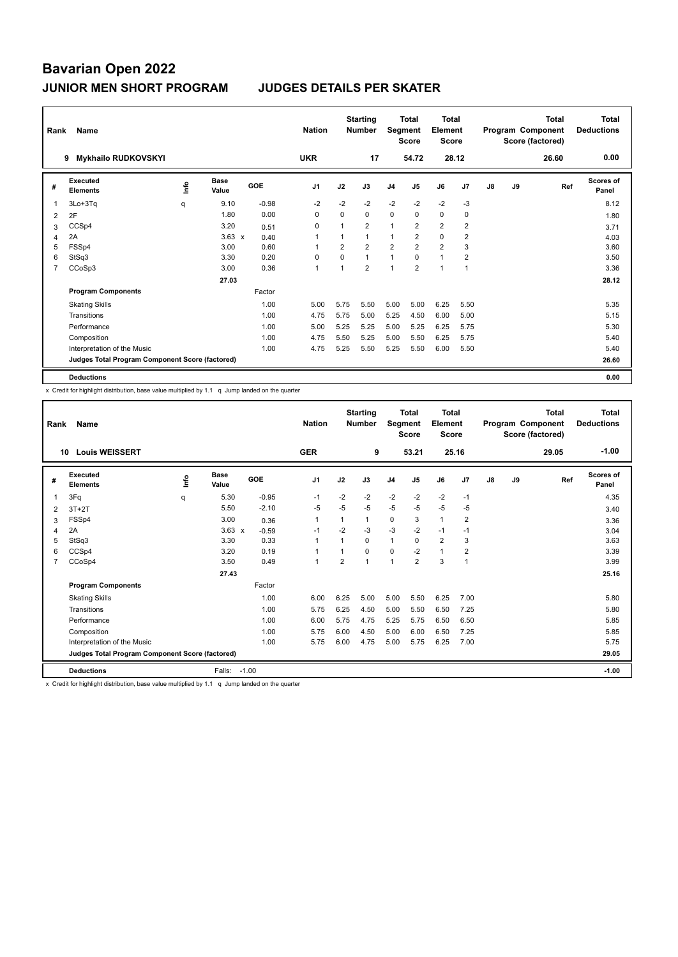| Rank           | Name                                            |      |                      |         | <b>Nation</b>  |                | <b>Starting</b><br><b>Number</b> | Segment        | <b>Total</b><br><b>Score</b> | <b>Total</b><br>Element<br>Score |                |               |    | <b>Total</b><br>Program Component<br>Score (factored) | <b>Total</b><br><b>Deductions</b> |
|----------------|-------------------------------------------------|------|----------------------|---------|----------------|----------------|----------------------------------|----------------|------------------------------|----------------------------------|----------------|---------------|----|-------------------------------------------------------|-----------------------------------|
|                | <b>Mykhailo RUDKOVSKYI</b><br>9                 |      |                      |         | <b>UKR</b>     |                | 17                               |                | 54.72                        |                                  | 28.12          |               |    | 26.60                                                 | 0.00                              |
| #              | Executed<br><b>Elements</b>                     | lnfo | <b>Base</b><br>Value | GOE     | J <sub>1</sub> | J2             | J3                               | J4             | J5                           | J6                               | J <sub>7</sub> | $\mathsf{J}8$ | J9 | Ref                                                   | <b>Scores of</b><br>Panel         |
| 1              | 3Lo+3Tq                                         | q    | 9.10                 | $-0.98$ | $-2$           | $-2$           | $-2$                             | $-2$           | $-2$                         | $-2$                             | $-3$           |               |    |                                                       | 8.12                              |
| 2              | 2F                                              |      | 1.80                 | 0.00    | $\Omega$       | $\Omega$       | $\Omega$                         | $\mathbf 0$    | $\mathbf 0$                  | $\mathbf 0$                      | 0              |               |    |                                                       | 1.80                              |
| 3              | CCSp4                                           |      | 3.20                 | 0.51    | 0              |                | 2                                | 1              | 2                            | $\overline{2}$                   | $\overline{2}$ |               |    |                                                       | 3.71                              |
| 4              | 2A                                              |      | $3.63 \times$        | 0.40    | 1              |                | $\mathbf{1}$                     | 1              | $\overline{2}$               | $\mathbf 0$                      | $\overline{2}$ |               |    |                                                       | 4.03                              |
| 5              | FSSp4                                           |      | 3.00                 | 0.60    | -1             | $\overline{2}$ | $\overline{2}$                   | $\overline{2}$ | $\overline{2}$               | $\overline{2}$                   | 3              |               |    |                                                       | 3.60                              |
| 6              | StSq3                                           |      | 3.30                 | 0.20    | 0              | $\mathbf 0$    | $\mathbf{1}$                     | $\mathbf{1}$   | 0                            | $\mathbf{1}$                     | $\overline{2}$ |               |    |                                                       | 3.50                              |
| $\overline{7}$ | CCoSp3                                          |      | 3.00                 | 0.36    | $\overline{1}$ | 1              | $\overline{2}$                   | $\overline{1}$ | $\overline{2}$               | $\mathbf{1}$                     | $\overline{1}$ |               |    |                                                       | 3.36                              |
|                |                                                 |      | 27.03                |         |                |                |                                  |                |                              |                                  |                |               |    |                                                       | 28.12                             |
|                | <b>Program Components</b>                       |      |                      | Factor  |                |                |                                  |                |                              |                                  |                |               |    |                                                       |                                   |
|                | <b>Skating Skills</b>                           |      |                      | 1.00    | 5.00           | 5.75           | 5.50                             | 5.00           | 5.00                         | 6.25                             | 5.50           |               |    |                                                       | 5.35                              |
|                | Transitions                                     |      |                      | 1.00    | 4.75           | 5.75           | 5.00                             | 5.25           | 4.50                         | 6.00                             | 5.00           |               |    |                                                       | 5.15                              |
|                | Performance                                     |      |                      | 1.00    | 5.00           | 5.25           | 5.25                             | 5.00           | 5.25                         | 6.25                             | 5.75           |               |    |                                                       | 5.30                              |
|                | Composition                                     |      |                      | 1.00    | 4.75           | 5.50           | 5.25                             | 5.00           | 5.50                         | 6.25                             | 5.75           |               |    |                                                       | 5.40                              |
|                | Interpretation of the Music                     |      |                      | 1.00    | 4.75           | 5.25           | 5.50                             | 5.25           | 5.50                         | 6.00                             | 5.50           |               |    |                                                       | 5.40                              |
|                | Judges Total Program Component Score (factored) |      |                      |         |                |                |                                  |                |                              |                                  |                |               |    |                                                       | 26.60                             |
|                | <b>Deductions</b>                               |      |                      |         |                |                |                                  |                |                              |                                  |                |               |    |                                                       | 0.00                              |

x Credit for highlight distribution, base value multiplied by 1.1 q Jump landed on the quarter

| Rank           | Name                                            |      |                      |         | <b>Nation</b>  |                | <b>Starting</b><br><b>Number</b> | Segment        | <b>Total</b><br><b>Score</b> | <b>Total</b><br>Element<br><b>Score</b> |                |    |    | <b>Total</b><br>Program Component<br>Score (factored) | <b>Total</b><br><b>Deductions</b> |
|----------------|-------------------------------------------------|------|----------------------|---------|----------------|----------------|----------------------------------|----------------|------------------------------|-----------------------------------------|----------------|----|----|-------------------------------------------------------|-----------------------------------|
|                | <b>Louis WEISSERT</b><br>10                     |      |                      |         | <b>GER</b>     |                | 9                                |                | 53.21                        |                                         | 25.16          |    |    | 29.05                                                 | $-1.00$                           |
| #              | Executed<br><b>Elements</b>                     | Info | <b>Base</b><br>Value | GOE     | J <sub>1</sub> | J2             | J3                               | J <sub>4</sub> | J <sub>5</sub>               | J6                                      | J7             | J8 | J9 | Ref                                                   | <b>Scores of</b><br>Panel         |
| 1              | 3Fq                                             | q    | 5.30                 | $-0.95$ | $-1$           | $-2$           | $-2$                             | $-2$           | $-2$                         | $-2$                                    | $-1$           |    |    |                                                       | 4.35                              |
| 2              | $3T+2T$                                         |      | 5.50                 | $-2.10$ | $-5$           | $-5$           | $-5$                             | $-5$           | $-5$                         | $-5$                                    | $-5$           |    |    |                                                       | 3.40                              |
| 3              | FSSp4                                           |      | 3.00                 | 0.36    | $\mathbf{1}$   | 1              | 1                                | 0              | 3                            | $\mathbf{1}$                            | 2              |    |    |                                                       | 3.36                              |
| $\overline{4}$ | 2A                                              |      | $3.63 \times$        | $-0.59$ | $-1$           | $-2$           | $-3$                             | $-3$           | $-2$                         | $-1$                                    | $-1$           |    |    |                                                       | 3.04                              |
| 5              | StSq3                                           |      | 3.30                 | 0.33    | $\mathbf{1}$   | $\overline{1}$ | 0                                | $\mathbf{1}$   | $\Omega$                     | $\overline{2}$                          | 3              |    |    |                                                       | 3.63                              |
| 6              | CCSp4                                           |      | 3.20                 | 0.19    | -1             |                | 0                                | 0              | $-2$                         | $\mathbf{1}$                            | $\overline{2}$ |    |    |                                                       | 3.39                              |
| $\overline{7}$ | CCoSp4                                          |      | 3.50                 | 0.49    | $\mathbf{1}$   | $\overline{2}$ | 1                                | $\overline{1}$ | $\overline{2}$               | 3                                       | $\overline{1}$ |    |    |                                                       | 3.99                              |
|                |                                                 |      | 27.43                |         |                |                |                                  |                |                              |                                         |                |    |    |                                                       | 25.16                             |
|                | <b>Program Components</b>                       |      |                      | Factor  |                |                |                                  |                |                              |                                         |                |    |    |                                                       |                                   |
|                | <b>Skating Skills</b>                           |      |                      | 1.00    | 6.00           | 6.25           | 5.00                             | 5.00           | 5.50                         | 6.25                                    | 7.00           |    |    |                                                       | 5.80                              |
|                | Transitions                                     |      |                      | 1.00    | 5.75           | 6.25           | 4.50                             | 5.00           | 5.50                         | 6.50                                    | 7.25           |    |    |                                                       | 5.80                              |
|                | Performance                                     |      |                      | 1.00    | 6.00           | 5.75           | 4.75                             | 5.25           | 5.75                         | 6.50                                    | 6.50           |    |    |                                                       | 5.85                              |
|                | Composition                                     |      |                      | 1.00    | 5.75           | 6.00           | 4.50                             | 5.00           | 6.00                         | 6.50                                    | 7.25           |    |    |                                                       | 5.85                              |
|                | Interpretation of the Music                     |      |                      | 1.00    | 5.75           | 6.00           | 4.75                             | 5.00           | 5.75                         | 6.25                                    | 7.00           |    |    |                                                       | 5.75                              |
|                | Judges Total Program Component Score (factored) |      |                      |         |                |                |                                  |                |                              |                                         |                |    |    |                                                       | 29.05                             |
|                | <b>Deductions</b>                               |      | Falls:               | $-1.00$ |                |                |                                  |                |                              |                                         |                |    |    |                                                       | $-1.00$                           |

x Credit for highlight distribution, base value multiplied by 1.1 q Jump landed on the quarter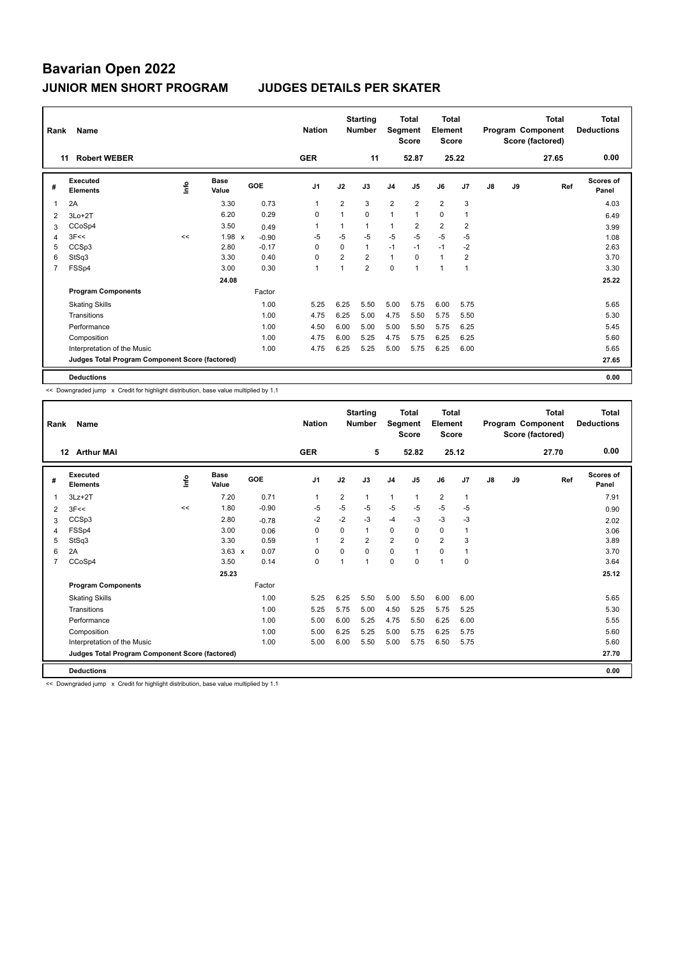| Rank | Name                                            |    |                      |         | <b>Nation</b>  |                | <b>Starting</b><br><b>Number</b> | Segment        | <b>Total</b><br><b>Score</b> | <b>Total</b><br>Element<br><b>Score</b> |                |    |    | Total<br>Program Component<br>Score (factored) | Total<br><b>Deductions</b> |
|------|-------------------------------------------------|----|----------------------|---------|----------------|----------------|----------------------------------|----------------|------------------------------|-----------------------------------------|----------------|----|----|------------------------------------------------|----------------------------|
|      | <b>Robert WEBER</b><br>11                       |    |                      |         | <b>GER</b>     |                | 11                               |                | 52.87                        |                                         | 25.22          |    |    | 27.65                                          | 0.00                       |
| #    | <b>Executed</b><br><b>Elements</b>              | ۴ů | <b>Base</b><br>Value | GOE     | J <sub>1</sub> | J2             | J3                               | J <sub>4</sub> | J <sub>5</sub>               | J6                                      | J <sub>7</sub> | J8 | J9 | Ref                                            | <b>Scores of</b><br>Panel  |
| 1    | 2A                                              |    | 3.30                 | 0.73    | $\mathbf 1$    | $\overline{2}$ | 3                                | $\overline{2}$ | $\overline{2}$               | $\overline{2}$                          | 3              |    |    |                                                | 4.03                       |
| 2    | $3Lo+2T$                                        |    | 6.20                 | 0.29    | $\Omega$       | $\mathbf{1}$   | $\Omega$                         | 1              | $\overline{1}$               | 0                                       | 1              |    |    |                                                | 6.49                       |
| 3    | CCoSp4                                          |    | 3.50                 | 0.49    | 1              |                | $\overline{1}$                   | 1              | $\overline{2}$               | $\overline{2}$                          | $\overline{2}$ |    |    |                                                | 3.99                       |
| 4    | 3F<<                                            | << | 1.98 x               | $-0.90$ | $-5$           | $-5$           | $-5$                             | $-5$           | $-5$                         | $-5$                                    | $-5$           |    |    |                                                | 1.08                       |
| 5    | CCSp3                                           |    | 2.80                 | $-0.17$ | 0              | $\Omega$       | $\mathbf{1}$                     | $-1$           | $-1$                         | $-1$                                    | $-2$           |    |    |                                                | 2.63                       |
| 6    | StSq3                                           |    | 3.30                 | 0.40    | $\Omega$       | $\overline{2}$ | $\overline{2}$                   | $\mathbf{1}$   | $\mathbf 0$                  | $\mathbf{1}$                            | $\overline{2}$ |    |    |                                                | 3.70                       |
| 7    | FSSp4                                           |    | 3.00                 | 0.30    | $\overline{1}$ | 1              | $\overline{2}$                   | 0              | 1                            | $\mathbf{1}$                            | $\overline{1}$ |    |    |                                                | 3.30                       |
|      |                                                 |    | 24.08                |         |                |                |                                  |                |                              |                                         |                |    |    |                                                | 25.22                      |
|      | <b>Program Components</b>                       |    |                      | Factor  |                |                |                                  |                |                              |                                         |                |    |    |                                                |                            |
|      | <b>Skating Skills</b>                           |    |                      | 1.00    | 5.25           | 6.25           | 5.50                             | 5.00           | 5.75                         | 6.00                                    | 5.75           |    |    |                                                | 5.65                       |
|      | Transitions                                     |    |                      | 1.00    | 4.75           | 6.25           | 5.00                             | 4.75           | 5.50                         | 5.75                                    | 5.50           |    |    |                                                | 5.30                       |
|      | Performance                                     |    |                      | 1.00    | 4.50           | 6.00           | 5.00                             | 5.00           | 5.50                         | 5.75                                    | 6.25           |    |    |                                                | 5.45                       |
|      | Composition                                     |    |                      | 1.00    | 4.75           | 6.00           | 5.25                             | 4.75           | 5.75                         | 6.25                                    | 6.25           |    |    |                                                | 5.60                       |
|      | Interpretation of the Music                     |    |                      | 1.00    | 4.75           | 6.25           | 5.25                             | 5.00           | 5.75                         | 6.25                                    | 6.00           |    |    |                                                | 5.65                       |
|      | Judges Total Program Component Score (factored) |    |                      |         |                |                |                                  |                |                              |                                         |                |    |    |                                                | 27.65                      |
|      | <b>Deductions</b>                               |    |                      |         |                |                |                                  |                |                              |                                         |                |    |    |                                                | 0.00                       |

<< Downgraded jump x Credit for highlight distribution, base value multiplied by 1.1

| Rank           | Name                                            |      |                      |         | <b>Nation</b>  |                | <b>Starting</b><br><b>Number</b> | Segment        | <b>Total</b><br><b>Score</b> | Total<br>Element<br><b>Score</b> |              |    |    | <b>Total</b><br>Program Component<br>Score (factored) | <b>Total</b><br><b>Deductions</b> |
|----------------|-------------------------------------------------|------|----------------------|---------|----------------|----------------|----------------------------------|----------------|------------------------------|----------------------------------|--------------|----|----|-------------------------------------------------------|-----------------------------------|
|                | <b>Arthur MAI</b><br>12                         |      |                      |         | <b>GER</b>     |                | 5                                |                | 52.82                        |                                  | 25.12        |    |    | 27.70                                                 | 0.00                              |
| #              | Executed<br><b>Elements</b>                     | ١nf٥ | <b>Base</b><br>Value | GOE     | J <sub>1</sub> | J2             | J3                               | J <sub>4</sub> | J <sub>5</sub>               | J6                               | J7           | J8 | J9 | Ref                                                   | Scores of<br>Panel                |
|                | $3Lz + 2T$                                      |      | 7.20                 | 0.71    | $\mathbf{1}$   | $\overline{2}$ | 1                                | $\mathbf{1}$   | 1                            | $\overline{2}$                   | $\mathbf{1}$ |    |    |                                                       | 7.91                              |
| 2              | 3F<<                                            | <<   | 1.80                 | $-0.90$ | -5             | $-5$           | $-5$                             | $-5$           | $-5$                         | $-5$                             | $-5$         |    |    |                                                       | 0.90                              |
| 3              | CCSp3                                           |      | 2.80                 | $-0.78$ | $-2$           | $-2$           | $-3$                             | $-4$           | $-3$                         | $-3$                             | $-3$         |    |    |                                                       | 2.02                              |
| 4              | FSSp4                                           |      | 3.00                 | 0.06    | 0              | $\Omega$       | $\mathbf{1}$                     | 0              | $\Omega$                     | 0                                | 1            |    |    |                                                       | 3.06                              |
| 5              | StSq3                                           |      | 3.30                 | 0.59    | $\overline{1}$ | 2              | $\overline{2}$                   | $\overline{2}$ | $\Omega$                     | $\overline{2}$                   | 3            |    |    |                                                       | 3.89                              |
| 6              | 2A                                              |      | $3.63 \times$        | 0.07    | $\Omega$       | $\Omega$       | 0                                | $\mathbf 0$    | 1                            | 0                                | 1            |    |    |                                                       | 3.70                              |
| $\overline{7}$ | CCoSp4                                          |      | 3.50                 | 0.14    | $\mathbf 0$    | 1              | 1                                | $\mathbf 0$    | $\Omega$                     | $\overline{1}$                   | $\mathbf 0$  |    |    |                                                       | 3.64                              |
|                |                                                 |      | 25.23                |         |                |                |                                  |                |                              |                                  |              |    |    |                                                       | 25.12                             |
|                | <b>Program Components</b>                       |      |                      | Factor  |                |                |                                  |                |                              |                                  |              |    |    |                                                       |                                   |
|                | <b>Skating Skills</b>                           |      |                      | 1.00    | 5.25           | 6.25           | 5.50                             | 5.00           | 5.50                         | 6.00                             | 6.00         |    |    |                                                       | 5.65                              |
|                | Transitions                                     |      |                      | 1.00    | 5.25           | 5.75           | 5.00                             | 4.50           | 5.25                         | 5.75                             | 5.25         |    |    |                                                       | 5.30                              |
|                | Performance                                     |      |                      | 1.00    | 5.00           | 6.00           | 5.25                             | 4.75           | 5.50                         | 6.25                             | 6.00         |    |    |                                                       | 5.55                              |
|                | Composition                                     |      |                      | 1.00    | 5.00           | 6.25           | 5.25                             | 5.00           | 5.75                         | 6.25                             | 5.75         |    |    |                                                       | 5.60                              |
|                | Interpretation of the Music                     |      |                      | 1.00    | 5.00           | 6.00           | 5.50                             | 5.00           | 5.75                         | 6.50                             | 5.75         |    |    |                                                       | 5.60                              |
|                | Judges Total Program Component Score (factored) |      |                      |         |                |                |                                  |                |                              |                                  |              |    |    |                                                       | 27.70                             |
|                | <b>Deductions</b>                               |      |                      |         |                |                |                                  |                |                              |                                  |              |    |    |                                                       | 0.00                              |

<< Downgraded jump x Credit for highlight distribution, base value multiplied by 1.1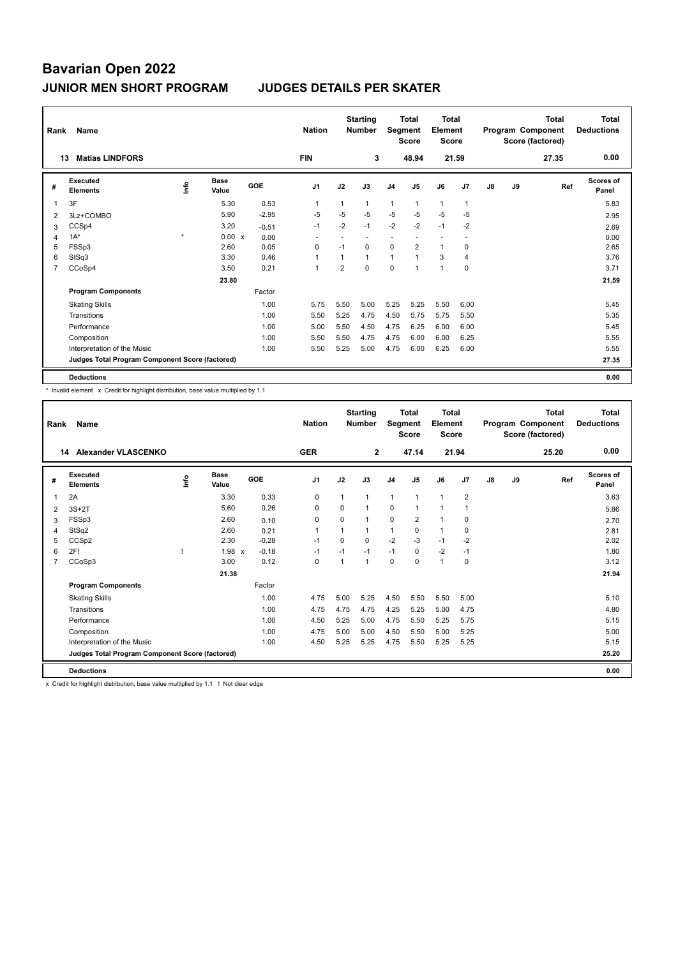| Rank           | Name                                                     |                                  |                      |         | <b>Nation</b>  |                | <b>Starting</b><br><b>Number</b> | Segment        | <b>Total</b><br><b>Score</b> | <b>Total</b><br>Element<br>Score |              |    |    | <b>Total</b><br>Program Component<br>Score (factored) | <b>Total</b><br><b>Deductions</b> |
|----------------|----------------------------------------------------------|----------------------------------|----------------------|---------|----------------|----------------|----------------------------------|----------------|------------------------------|----------------------------------|--------------|----|----|-------------------------------------------------------|-----------------------------------|
|                | <b>Matias LINDFORS</b><br>13                             |                                  |                      |         | <b>FIN</b>     |                | 3                                |                | 48.94                        |                                  | 21.59        |    |    | 27.35                                                 | 0.00                              |
| #              | Executed<br><b>Elements</b>                              | $\mathop{\mathsf{Irr}}\nolimits$ | <b>Base</b><br>Value | GOE     | J <sub>1</sub> | J2             | J3                               | J <sub>4</sub> | J <sub>5</sub>               | J6                               | J7           | J8 | J9 | Ref                                                   | <b>Scores of</b><br>Panel         |
| 1              | 3F                                                       |                                  | 5.30                 | 0.53    | 1              | 1              | $\mathbf{1}$                     | $\mathbf{1}$   | $\mathbf{1}$                 | $\mathbf{1}$                     | $\mathbf{1}$ |    |    |                                                       | 5.83                              |
| 2              | 3Lz+COMBO                                                |                                  | 5.90                 | $-2.95$ | -5             | $-5$           | $-5$                             | $-5$           | $-5$                         | $-5$                             | $-5$         |    |    |                                                       | 2.95                              |
| 3              | CCSp4                                                    |                                  | 3.20                 | $-0.51$ | $-1$           | $-2$           | $-1$                             | $-2$           | $-2$                         | $-1$                             | $-2$         |    |    |                                                       | 2.69                              |
| 4              | $1A^*$                                                   | $\star$                          | 0.00 x               | 0.00    |                |                |                                  |                |                              |                                  |              |    |    |                                                       | 0.00                              |
| 5              | FSSp3                                                    |                                  | 2.60                 | 0.05    | 0              | $-1$           | $\Omega$                         | 0              | $\overline{2}$               | $\mathbf{1}$                     | 0            |    |    |                                                       | 2.65                              |
| 6              | StSq3                                                    |                                  | 3.30                 | 0.46    | $\overline{1}$ |                | $\mathbf{1}$                     | $\mathbf{1}$   | $\overline{1}$               | 3                                | 4            |    |    |                                                       | 3.76                              |
| $\overline{7}$ | CCoSp4                                                   |                                  | 3.50                 | 0.21    | $\overline{1}$ | $\overline{2}$ | $\Omega$                         | $\mathbf 0$    | 1                            | $\mathbf{1}$                     | 0            |    |    |                                                       | 3.71                              |
|                |                                                          |                                  | 23.80                |         |                |                |                                  |                |                              |                                  |              |    |    |                                                       | 21.59                             |
|                | <b>Program Components</b>                                |                                  |                      | Factor  |                |                |                                  |                |                              |                                  |              |    |    |                                                       |                                   |
|                | <b>Skating Skills</b>                                    |                                  |                      | 1.00    | 5.75           | 5.50           | 5.00                             | 5.25           | 5.25                         | 5.50                             | 6.00         |    |    |                                                       | 5.45                              |
|                | Transitions                                              |                                  |                      | 1.00    | 5.50           | 5.25           | 4.75                             | 4.50           | 5.75                         | 5.75                             | 5.50         |    |    |                                                       | 5.35                              |
|                | Performance                                              |                                  |                      | 1.00    | 5.00           | 5.50           | 4.50                             | 4.75           | 6.25                         | 6.00                             | 6.00         |    |    |                                                       | 5.45                              |
|                | Composition                                              |                                  |                      | 1.00    | 5.50           | 5.50           | 4.75                             | 4.75           | 6.00                         | 6.00                             | 6.25         |    |    |                                                       | 5.55                              |
|                | Interpretation of the Music                              |                                  |                      | 1.00    | 5.50           | 5.25           | 5.00                             | 4.75           | 6.00                         | 6.25                             | 6.00         |    |    |                                                       | 5.55                              |
|                | 27.35<br>Judges Total Program Component Score (factored) |                                  |                      |         |                |                |                                  |                |                              |                                  |              |    |    |                                                       |                                   |
|                | <b>Deductions</b>                                        |                                  |                      |         |                |                |                                  |                |                              |                                  |              |    |    |                                                       | 0.00                              |

\* Invalid element x Credit for highlight distribution, base value multiplied by 1.1

| Rank | Name                                            |      |                      |         | <b>Nation</b>  |                         | <b>Starting</b><br><b>Number</b> | Segment        | <b>Total</b><br><b>Score</b> | <b>Total</b><br>Element<br><b>Score</b> |                | <b>Total</b><br>Program Component<br>Score (factored) |    |       | <b>Total</b><br><b>Deductions</b> |
|------|-------------------------------------------------|------|----------------------|---------|----------------|-------------------------|----------------------------------|----------------|------------------------------|-----------------------------------------|----------------|-------------------------------------------------------|----|-------|-----------------------------------|
|      | Alexander VLASCENKO<br>14                       |      |                      |         | <b>GER</b>     |                         | $\overline{2}$                   |                | 47.14                        | 21.94                                   |                |                                                       |    | 25.20 | 0.00                              |
| #    | Executed<br><b>Elements</b>                     | ١nf٥ | <b>Base</b><br>Value | GOE     | J <sub>1</sub> | J2                      | J3                               | J <sub>4</sub> | J <sub>5</sub>               | J6                                      | J7             | J8                                                    | J9 | Ref   | <b>Scores of</b><br>Panel         |
| 1    | 2A                                              |      | 3.30                 | 0.33    | 0              | $\mathbf{1}$            | $\mathbf{1}$                     | $\mathbf{1}$   | $\mathbf{1}$                 | $\mathbf{1}$                            | $\overline{2}$ |                                                       |    |       | 3.63                              |
| 2    | $3S+2T$                                         |      | 5.60                 | 0.26    | 0              | $\Omega$                | $\mathbf{1}$                     | $\mathbf 0$    | $\mathbf{1}$                 | $\mathbf{1}$                            | 1              |                                                       |    |       | 5.86                              |
| 3    | FSSp3                                           |      | 2.60                 | 0.10    | 0              | $\Omega$                | 1                                | 0              | 2                            | $\mathbf{1}$                            | $\mathbf 0$    |                                                       |    |       | 2.70                              |
| 4    | StSq2                                           |      | 2.60                 | 0.21    | $\mathbf{1}$   |                         | $\mathbf{1}$                     | $\mathbf{1}$   | $\Omega$                     | $\mathbf{1}$                            | $\mathbf 0$    |                                                       |    |       | 2.81                              |
| 5    | CCS <sub>p2</sub>                               |      | 2.30                 | $-0.28$ | $-1$           | $\Omega$                | $\Omega$                         | $-2$           | $-3$                         | $-1$                                    | $-2$           |                                                       |    |       | 2.02                              |
| 6    | 2F!                                             |      | 1.98<br>$\mathsf{x}$ | $-0.18$ | $-1$           | $-1$                    | $-1$                             | $-1$           | $\mathbf 0$                  | $-2$                                    | $-1$           |                                                       |    |       | 1.80                              |
| 7    | CCoSp3                                          |      | 3.00                 | 0.12    | $\Omega$       | $\overline{\mathbf{1}}$ | $\mathbf{1}$                     | $\Omega$       | $\Omega$                     | $\mathbf{1}$                            | $\mathbf 0$    |                                                       |    |       | 3.12                              |
|      |                                                 |      | 21.38                |         |                |                         |                                  |                |                              |                                         |                |                                                       |    |       | 21.94                             |
|      | <b>Program Components</b>                       |      |                      | Factor  |                |                         |                                  |                |                              |                                         |                |                                                       |    |       |                                   |
|      | <b>Skating Skills</b>                           |      |                      | 1.00    | 4.75           | 5.00                    | 5.25                             | 4.50           | 5.50                         | 5.50                                    | 5.00           |                                                       |    |       | 5.10                              |
|      | Transitions                                     |      |                      | 1.00    | 4.75           | 4.75                    | 4.75                             | 4.25           | 5.25                         | 5.00                                    | 4.75           |                                                       |    |       | 4.80                              |
|      | Performance                                     |      |                      | 1.00    | 4.50           | 5.25                    | 5.00                             | 4.75           | 5.50                         | 5.25                                    | 5.75           |                                                       |    |       | 5.15                              |
|      | Composition                                     |      |                      | 1.00    | 4.75           | 5.00                    | 5.00                             | 4.50           | 5.50                         | 5.00                                    | 5.25           |                                                       |    |       | 5.00                              |
|      | Interpretation of the Music                     |      |                      | 1.00    | 4.50           | 5.25                    | 5.25                             | 4.75           | 5.50                         | 5.25                                    | 5.25           |                                                       |    |       | 5.15                              |
|      | Judges Total Program Component Score (factored) |      |                      |         |                |                         |                                  |                |                              |                                         |                |                                                       |    |       | 25.20                             |
|      | <b>Deductions</b>                               |      |                      |         |                |                         |                                  |                |                              |                                         |                |                                                       |    |       | 0.00                              |
|      |                                                 |      | .                    |         |                |                         |                                  |                |                              |                                         |                |                                                       |    |       |                                   |

x Credit for highlight distribution, base value multiplied by 1.1 ! Not clear edge